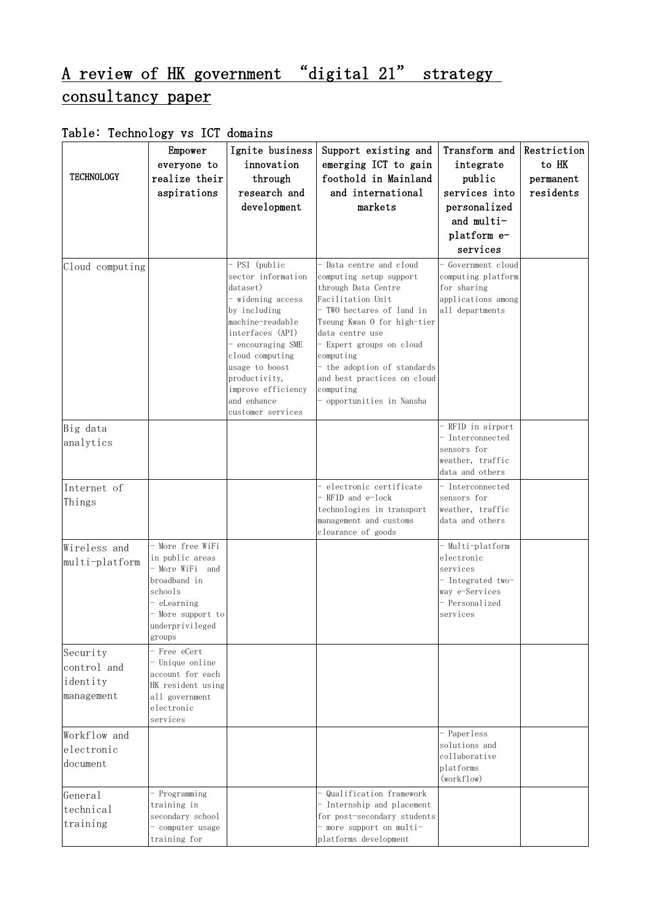## A review of HK government "digital 21" strategy consultancy paper

## Table: Technology vs ICT domains

| <b>TECHNOLOGY</b>                                 | Empower<br>everyone to<br>realize their<br>aspirations                                                                                           | Ignite business<br>innovation<br>through<br>research and<br>development                                                                                                                                                                                           | Support existing and<br>emerging ICT to gain<br>foothold in Mainland<br>and international<br>markets                                                                                                                                                                                                                           | Transform and<br>integrate<br>public<br>services into<br>personalized<br>and multi-<br>platform e-<br>services  | Restriction<br>to HK<br>permanent<br>residents |
|---------------------------------------------------|--------------------------------------------------------------------------------------------------------------------------------------------------|-------------------------------------------------------------------------------------------------------------------------------------------------------------------------------------------------------------------------------------------------------------------|--------------------------------------------------------------------------------------------------------------------------------------------------------------------------------------------------------------------------------------------------------------------------------------------------------------------------------|-----------------------------------------------------------------------------------------------------------------|------------------------------------------------|
| Cloud computing                                   |                                                                                                                                                  | - PSI (public<br>sector information<br>dataset)<br>- widening access<br>by including<br>machine-readable<br>interfaces (API)<br>- encouraging SME<br>cloud computing<br>usage to boost<br>productivity,<br>improve efficiency<br>and enhance<br>customer services | - Data centre and cloud<br>computing setup support<br>through Data Centre<br>Facilitation Unit<br>- TWO hectares of land in<br>Tseung Kwan O for high-tier<br>data centre use<br>- Expert groups on cloud<br>computing<br>- the adoption of standards<br>and best practices on cloud<br>computing<br>- opportunities in Nansha | - Government cloud<br>computing platform<br>for sharing<br>applications among<br>all departments                |                                                |
| Big data                                          |                                                                                                                                                  |                                                                                                                                                                                                                                                                   |                                                                                                                                                                                                                                                                                                                                | - RFID in airport                                                                                               |                                                |
| analytics                                         |                                                                                                                                                  |                                                                                                                                                                                                                                                                   |                                                                                                                                                                                                                                                                                                                                | - Interconnected<br>sensors for<br>weather, traffic<br>data and others                                          |                                                |
| Internet of<br>Things                             |                                                                                                                                                  |                                                                                                                                                                                                                                                                   | - electronic certificate<br>RFID and e-lock<br>technologies in transport<br>management and customs<br>clearance of goods                                                                                                                                                                                                       | - Interconnected<br>sensors for<br>weather, traffic<br>data and others                                          |                                                |
| Wireless and<br>multi-platform                    | - More free WiFi<br>in public areas<br>- More WiFi and<br>broadband in<br>schools<br>eLearning<br>- More support to<br>underprivileged<br>groups |                                                                                                                                                                                                                                                                   |                                                                                                                                                                                                                                                                                                                                | - Multi-platform<br>electronic<br>services<br>- Integrated two-<br>way e-Services<br>- Personalized<br>services |                                                |
| Security<br>control and<br>identity<br>management | - Free eCert<br>- Unique online<br>account for each<br>HK resident using<br>all government<br>electronic<br>services                             |                                                                                                                                                                                                                                                                   |                                                                                                                                                                                                                                                                                                                                |                                                                                                                 |                                                |
| Workflow and<br>electronic<br>document            |                                                                                                                                                  |                                                                                                                                                                                                                                                                   |                                                                                                                                                                                                                                                                                                                                | - Paperless<br>solutions and<br>collaborative<br>platforms<br>(workflow)                                        |                                                |
| General<br>technical<br>training                  | - Programming<br>training in<br>secondary school<br>- computer usage<br>training for                                                             |                                                                                                                                                                                                                                                                   | - Qualification framework<br>- Internship and placement<br>for post-secondary students<br>- more support on multi-<br>platforms development                                                                                                                                                                                    |                                                                                                                 |                                                |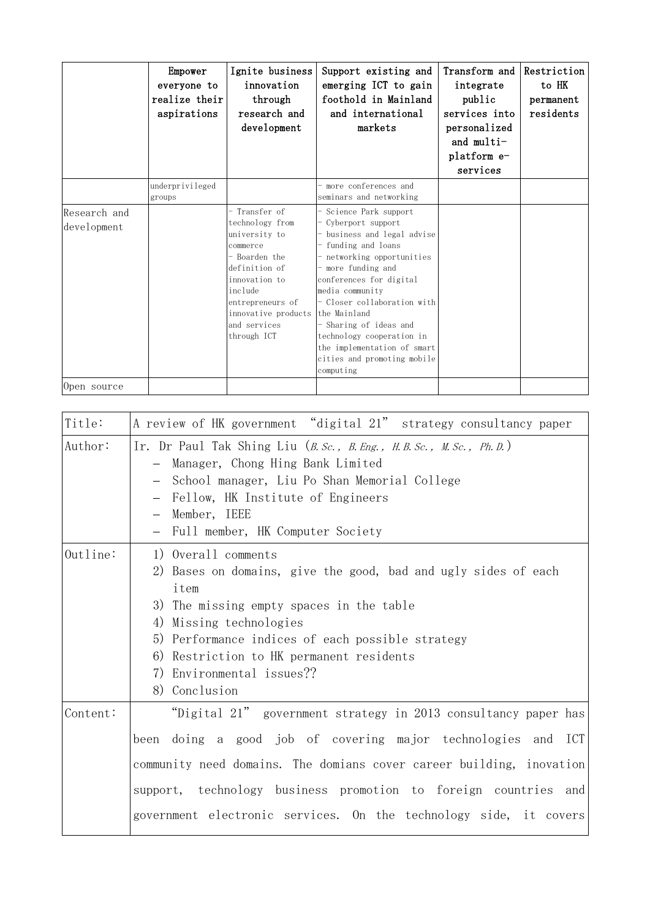|                             | Empower<br>everyone to<br>realize their<br>aspirations | Ignite business<br>innovation<br>through<br>research and<br>development                                                                                                                               | Support existing and<br>emerging ICT to gain<br>foothold in Mainland<br>and international<br>markets                                                                                                                                                                                                                                                                                   | Transform and Restriction<br>integrate<br>public<br>services into<br>personalized<br>and $multi-$<br>platform e-<br>services | to HK<br>permanent<br>residents |
|-----------------------------|--------------------------------------------------------|-------------------------------------------------------------------------------------------------------------------------------------------------------------------------------------------------------|----------------------------------------------------------------------------------------------------------------------------------------------------------------------------------------------------------------------------------------------------------------------------------------------------------------------------------------------------------------------------------------|------------------------------------------------------------------------------------------------------------------------------|---------------------------------|
|                             | underprivileged<br>groups                              |                                                                                                                                                                                                       | - more conferences and<br>seminars and networking                                                                                                                                                                                                                                                                                                                                      |                                                                                                                              |                                 |
| Research and<br>development |                                                        | - Transfer of<br>technology from<br>university to<br>commerce<br>- Boarden the<br>definition of<br>innovation to<br>include<br>entrepreneurs of<br>innovative products<br>and services<br>through ICT | - Science Park support<br>- Cyberport support<br>- business and legal advise<br>- funding and loans<br>- networking opportunities<br>- more funding and<br>conferences for digital<br>media community<br>- Closer collaboration with<br>the Mainland<br>- Sharing of ideas and<br>technology cooperation in<br>the implementation of smart<br>cities and promoting mobile<br>computing |                                                                                                                              |                                 |
| Open source                 |                                                        |                                                                                                                                                                                                       |                                                                                                                                                                                                                                                                                                                                                                                        |                                                                                                                              |                                 |

| Title:   | A review of HK government "digital 21" strategy consultancy paper                                                                                                                                                                                                                                                                              |
|----------|------------------------------------------------------------------------------------------------------------------------------------------------------------------------------------------------------------------------------------------------------------------------------------------------------------------------------------------------|
| Author:  | Ir. Dr Paul Tak Shing Liu $(B. Sc.$ , B. Eng., H. B. Sc., M. Sc., Ph. D.)<br>- Manager, Chong Hing Bank Limited<br>- School manager, Liu Po Shan Memorial College<br>- Fellow, HK Institute of Engineers<br>- Member, IEEE<br>- Full member, HK Computer Society                                                                               |
| Outline: | 1) Overall comments<br>2) Bases on domains, give the good, bad and ugly sides of each<br>item<br>3) The missing empty spaces in the table<br>4) Missing technologies<br>5) Performance indices of each possible strategy<br>6) Restriction to HK permanent residents<br>7) Environmental issues??<br>8) Conclusion                             |
| Content: | "Digital 21" government strategy in 2013 consultancy paper has<br>been doing a good job of covering major technologies and ICT<br>community need domains. The domians cover career building, inovation<br>support, technology business promotion to foreign countries and<br>government electronic services. On the technology side, it covers |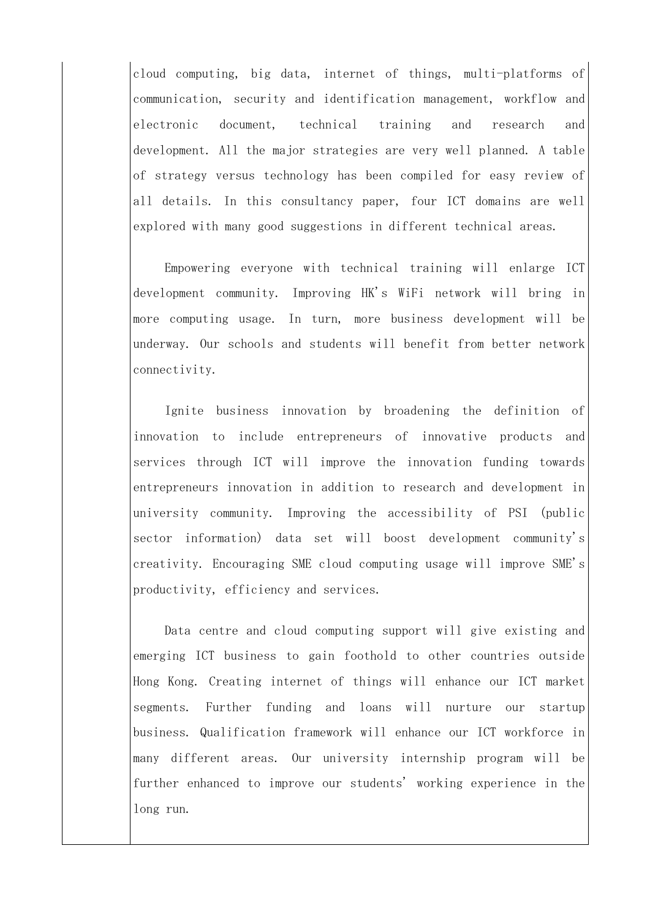cloud computing, big data, internet of things, multi-platforms of communication, security and identification management, workflow and electronic document, technical training and research and development. All the major strategies are very well planned. A table of strategy versus technology has been compiled for easy review of all details. In this consultancy paper, four ICT domains are well explored with many good suggestions in different technical areas.

Empowering everyone with technical training will enlarge ICT development community. Improving HK's WiFi network will bring in more computing usage. In turn, more business development will be underway. Our schools and students will benefit from better network connectivity.

Ignite business innovation by broadening the definition of innovation to include entrepreneurs of innovative products and services through ICT will improve the innovation funding towards entrepreneurs innovation in addition to research and development in university community. Improving the accessibility of PSI (public sector information) data set will boost development community's creativity. Encouraging SME cloud computing usage will improve SME's productivity, efficiency and services.

Data centre and cloud computing support will give existing and emerging ICT business to gain foothold to other countries outside Hong Kong. Creating internet of things will enhance our ICT market segments. Further funding and loans will nurture our startup business. Qualification framework will enhance our ICT workforce in many different areas. Our university internship program will be further enhanced to improve our students' working experience in the long run.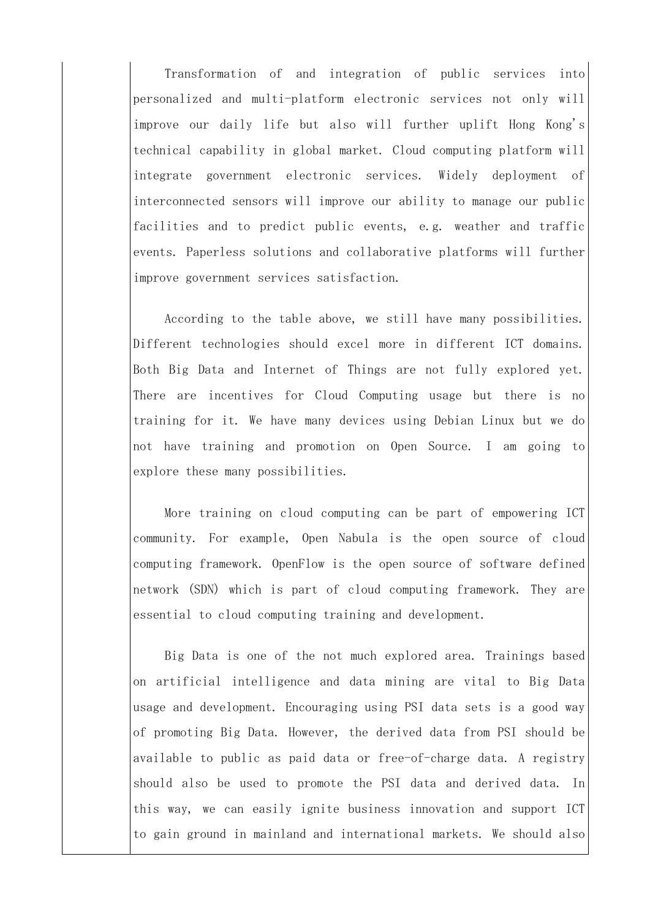Transformation of and integration of public services into personalized and multi-platform electronic services not only will improve our daily life but also will further uplift Hong Kong's technical capability in global market. Cloud computing platform will integrate government electronic services. Widely deployment of interconnected sensors will improve our ability to manage our public facilities and to predict public events, e.g. weather and traffic events. Paperless solutions and collaborative platforms will further improve government services satisfaction.

According to the table above, we still have many possibilities. Different technologies should excel more in different ICT domains. Both Big Data and Internet of Things are not fully explored yet. There are incentives for Cloud Computing usage but there is no training for it. We have many devices using Debian Linux but we do not have training and promotion on Open Source. I am going to explore these many possibilities.

More training on cloud computing can be part of empowering ICT community. For example, Open Nabula is the open source of cloud computing framework. OpenFlow is the open source of software defined network (SDN) which is part of cloud computing framework. They are essential to cloud computing training and development.

Big Data is one of the not much explored area. Trainings based on artificial intelligence and data mining are vital to Big Data usage and development. Encouraging using PSI data sets is a good way of promoting Big Data. However, the derived data from PSI should be available to public as paid data or free-of-charge data. A registry should also be used to promote the PSI data and derived data. In this way, we can easily ignite business innovation and support ICT to gain ground in mainland and international markets. We should also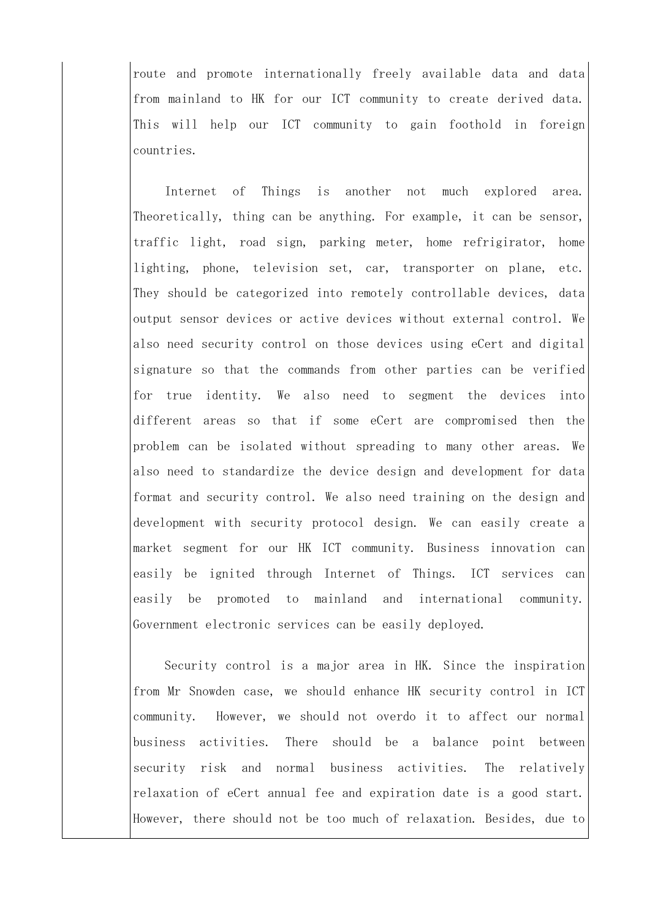route and promote internationally freely available data and data from mainland to HK for our ICT community to create derived data. This will help our ICT community to gain foothold in foreign countries.

Internet of Things is another not much explored area. Theoretically, thing can be anything. For example, it can be sensor, traffic light, road sign, parking meter, home refrigirator, home lighting, phone, television set, car, transporter on plane, etc. They should be categorized into remotely controllable devices, data output sensor devices or active devices without external control. We also need security control on those devices using eCert and digital signature so that the commands from other parties can be verified for true identity. We also need to segment the devices into different areas so that if some eCert are compromised then the problem can be isolated without spreading to many other areas. We also need to standardize the device design and development for data format and security control. We also need training on the design and development with security protocol design. We can easily create a market segment for our HK ICT community. Business innovation can easily be ignited through Internet of Things. ICT services can easily be promoted to mainland and international community. Government electronic services can be easily deployed.

Security control is a major area in HK. Since the inspiration from Mr Snowden case, we should enhance HK security control in ICT community. However, we should not overdo it to affect our normal business activities. There should be a balance point between security risk and normal business activities. The relatively relaxation of eCert annual fee and expiration date is a good start. However, there should not be too much of relaxation. Besides, due to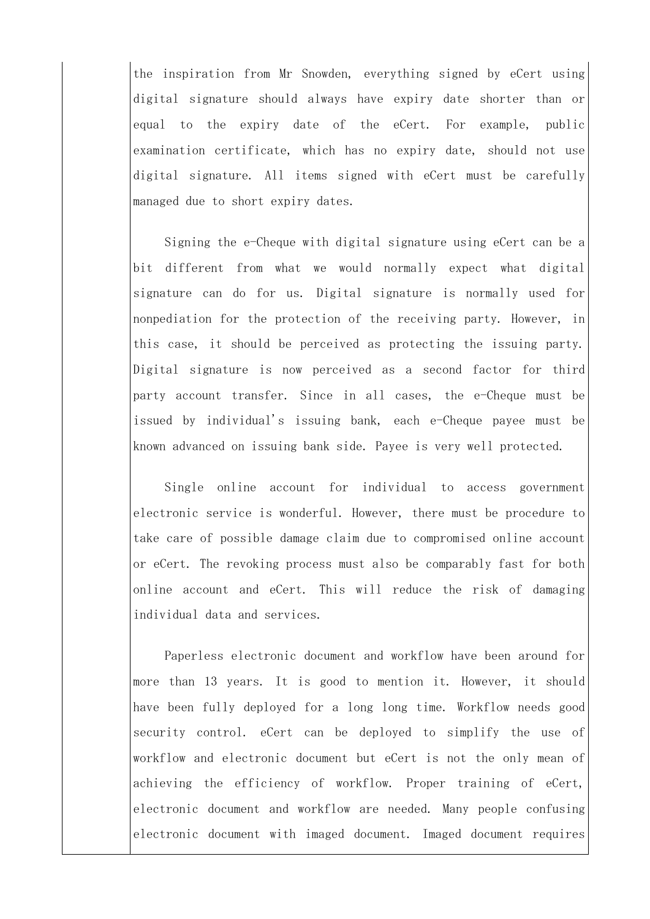the inspiration from Mr Snowden, everything signed by eCert using digital signature should always have expiry date shorter than or equal to the expiry date of the eCert. For example, public examination certificate, which has no expiry date, should not use digital signature. All items signed with eCert must be carefully managed due to short expiry dates.

Signing the e-Cheque with digital signature using eCert can be a bit different from what we would normally expect what digital signature can do for us. Digital signature is normally used for nonpediation for the protection of the receiving party. However, in this case, it should be perceived as protecting the issuing party. Digital signature is now perceived as a second factor for third party account transfer. Since in all cases, the e-Cheque must be issued by individual's issuing bank, each e-Cheque payee must be known advanced on issuing bank side. Payee is very well protected.

 or eCert. The revoking process must also be comparably fast for both Single online account for individual to access government electronic service is wonderful. However, there must be procedure to take care of possible damage claim due to compromised online account online account and eCert. This will reduce the risk of damaging individual data and services.

Paperless electronic document and workflow have been around for more than 13 years. It is good to mention it. However, it should have been fully deployed for a long long time. Workflow needs good security control. eCert can be deployed to simplify the use of workflow and electronic document but eCert is not the only mean of achieving the efficiency of workflow. Proper training of eCert, electronic document and workflow are needed. Many people confusing electronic document with imaged document. Imaged document requires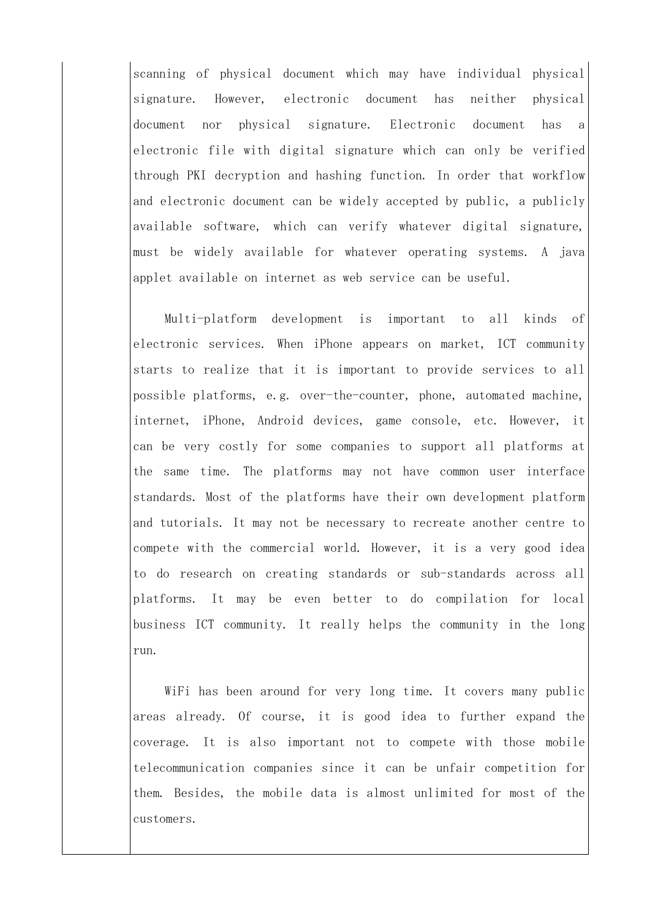scanning of physical document which may have individual physical signature. However, electronic document has neither physical document nor physical signature. Electronic document has a electronic file with digital signature which can only be verified through PKI decryption and hashing function. In order that workflow and electronic document can be widely accepted by public, a publicly available software, which can verify whatever digital signature, must be widely available for whatever operating systems. A java applet available on internet as web service can be useful.

Multi-platform development is important to all kinds of electronic services. When iPhone appears on market, ICT community starts to realize that it is important to provide services to all possible platforms, e.g. over-the-counter, phone, automated machine, internet, iPhone, Android devices, game console, etc. However, it can be very costly for some companies to support all platforms at the same time. The platforms may not have common user interface standards. Most of the platforms have their own development platform and tutorials. It may not be necessary to recreate another centre to compete with the commercial world. However, it is a very good idea to do research on creating standards or sub-standards across all platforms. It may be even better to do compilation for local business ICT community. It really helps the community in the long run.

WiFi has been around for very long time. It covers many public areas already. Of course, it is good idea to further expand the coverage. It is also important not to compete with those mobile telecommunication companies since it can be unfair competition for them. Besides, the mobile data is almost unlimited for most of the customers.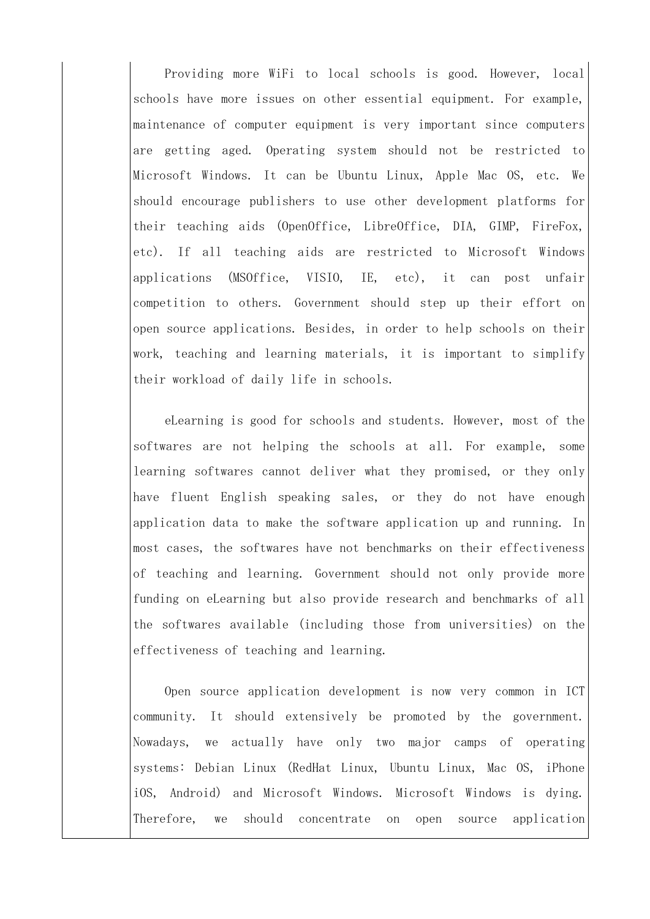Providing more WiFi to local schools is good. However, local schools have more issues on other essential equipment. For example, maintenance of computer equipment is very important since computers are getting aged. Operating system should not be restricted to Microsoft Windows. It can be Ubuntu Linux, Apple Mac OS, etc. We should encourage publishers to use other development platforms for their teaching aids (OpenOffice, LibreOffice, DIA, GIMP, FireFox, etc). If all teaching aids are restricted to Microsoft Windows applications (MSOffice, VISIO, IE, etc), it can post unfair competition to others. Government should step up their effort on open source applications. Besides, in order to help schools on their work, teaching and learning materials, it is important to simplify their workload of daily life in schools.

eLearning is good for schools and students. However, most of the softwares are not helping the schools at all. For example, some learning softwares cannot deliver what they promised, or they only have fluent English speaking sales, or they do not have enough application data to make the software application up and running. In most cases, the softwares have not benchmarks on their effectiveness of teaching and learning. Government should not only provide more funding on eLearning but also provide research and benchmarks of all the softwares available (including those from universities) on the effectiveness of teaching and learning.

Open source application development is now very common in ICT community. It should extensively be promoted by the government. Nowadays, we actually have only two major camps of operating systems: Debian Linux (RedHat Linux, Ubuntu Linux, Mac OS, iPhone iOS, Android) and Microsoft Windows. Microsoft Windows is dying. Therefore, we should concentrate on open source application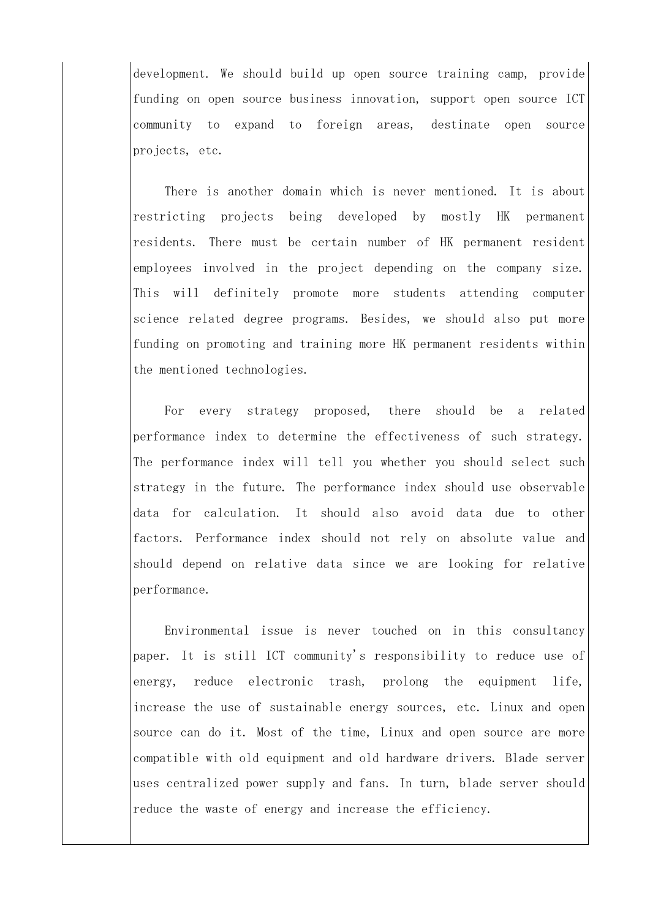development. We should build up open source training camp, provide funding on open source business innovation, support open source ICT community to expand to foreign areas, destinate open source projects, etc.

There is another domain which is never mentioned. It is about restricting projects being developed by mostly HK permanent residents. There must be certain number of HK permanent resident employees involved in the project depending on the company size. This will definitely promote more students attending computer science related degree programs. Besides, we should also put more funding on promoting and training more HK permanent residents within the mentioned technologies.

For every strategy proposed, there should be a related performance index to determine the effectiveness of such strategy. The performance index will tell you whether you should select such strategy in the future. The performance index should use observable data for calculation. It should also avoid data due to other factors. Performance index should not rely on absolute value and should depend on relative data since we are looking for relative performance.

Environmental issue is never touched on in this consultancy paper. It is still ICT community's responsibility to reduce use of energy, reduce electronic trash, prolong the equipment life, increase the use of sustainable energy sources, etc. Linux and open source can do it. Most of the time, Linux and open source are more compatible with old equipment and old hardware drivers. Blade server uses centralized power supply and fans. In turn, blade server should reduce the waste of energy and increase the efficiency.